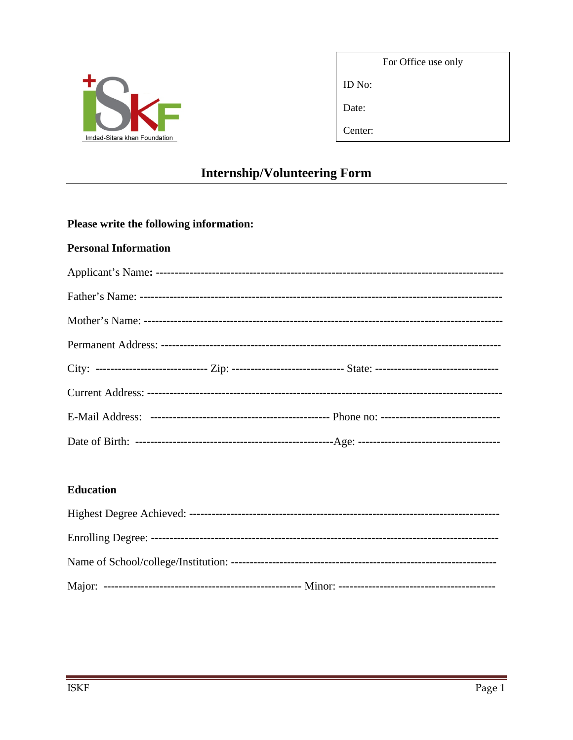

Date:

ID No:

Center:

# **Internship/Volunteering Form**

## Please write the following information:

#### **Personal Information**

|  | City: ------------------------------ Zip: ------------------------------ State: ------------------------------- |  |
|--|-----------------------------------------------------------------------------------------------------------------|--|
|  |                                                                                                                 |  |
|  |                                                                                                                 |  |
|  |                                                                                                                 |  |

### **Education**